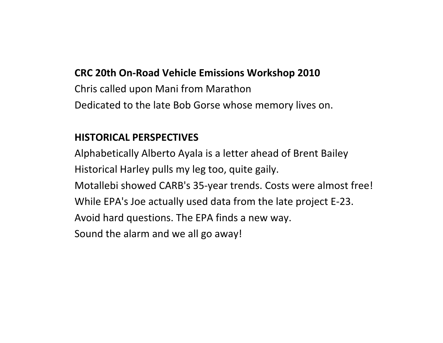#### **CRC 20th On‐Road Vehicle Emissions Workshop 2010**

Chris called upon Mani from Marathon Dedicated to the late Bob Gorse whose memory lives on.

#### **HISTORICAL PERSPECTIVES**

Alphabetically Alberto Ayala is <sup>a</sup> letter ahead of Brent Bailey Historical Harley pulls my leg too, quite gaily. Motallebi showed CARB's 35‐year trends. Costs were almost free! While EPA's Joe actually used data from the late project E‐23. Avoid hard questions. The EPA finds <sup>a</sup> new way. Sound the alarm and we all go away!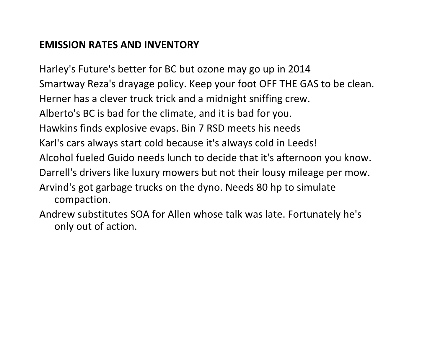#### **EMISSION RATES AND INVENTORY**

only out of action.

Harley's Future's better for BC but ozone may go up in 2014 Smartway Reza's drayage policy. Keep your foot OFF THE GAS to be clean. Herner has a clever truck trick and <sup>a</sup> midnight sniffing crew. Alberto's BC is bad for the climate, and it is bad for you. Hawkins finds explosive evaps. Bin 7 RSD meets his needs Karl's cars always start cold because it's always cold in Leeds! Alcohol fueled Guido needs lunch to decide that it's afternoon you know. Darrell's drivers like luxury mowers but not their lousy mileage per mow. Arvind's got garbage trucks on the dyno. Needs 80 hp to simulate compaction. Andrew substitutes SOA for Allen whose talk was late. Fortunately he's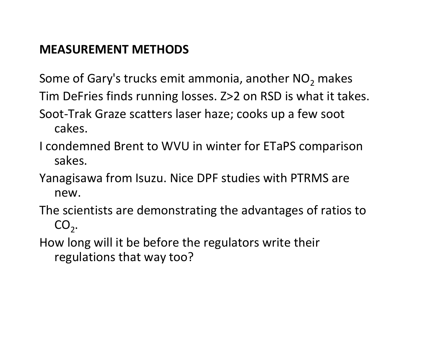### **MEASUREMENT METHODS**

Some of Gary's trucks emit ammonia, another NO $_2$  makes Tim DeFries finds running losses. Z>2 on RSD is what it takes. Soot‐Trak Graze scatters laser haze; cooks up <sup>a</sup> few soot cakes.

- I condemned Brent to WVU in winter for ETaPS comparison sakes.
- Yanagisawa from Isuzu. Nice DPF studies with PTRMS are new.

The scientists are demonstrating the advantages of ratios to  $CO<sub>2</sub>$ .

How long will it be before the regulators write their regulations that way too?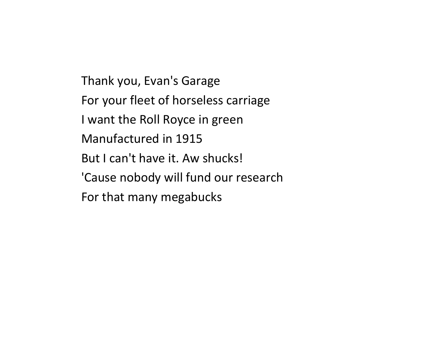Thank you, Evan's Garage For your fleet of horseless carriage I want the Roll Royce in green Manufactured in 1915 But I can't have it. Aw shucks! 'Cause nobody will fund our research For that many megabucks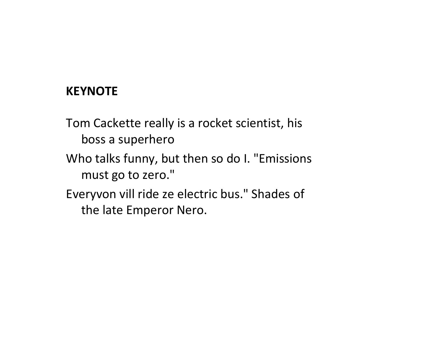### **KEYNOTE**

Tom Cackette really is <sup>a</sup> rocket scientist, his boss a superhero

- Who talks funny, but then so do I. "Emissions must go to zero."
- Everyvon vill ride ze electric bus." Shades of the late Emperor Nero.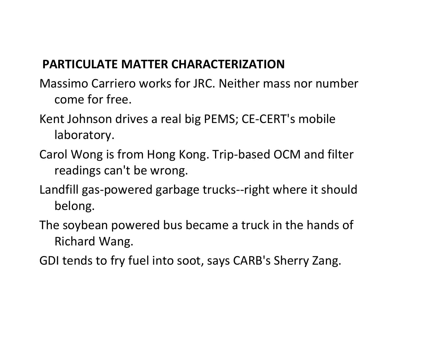## **PARTICULATE MATTER CHARACTERIZATION**

- Massimo Carriero works for JRC. Neither mass nor number come for free.
- Kent Johnson drives <sup>a</sup> real big PEMS; CE‐CERT's mobile laboratory.
- Carol Wong is from Hong Kong. Trip‐based OCM and filter readings can't be wrong.
- Landfill gas‐powered garbage trucks‐‐right where it should belong.
- The soybean powered bus became <sup>a</sup> truck in the hands of Richard Wang.
- GDI tends to fry fuel into soot, says CARB's Sherry Zang.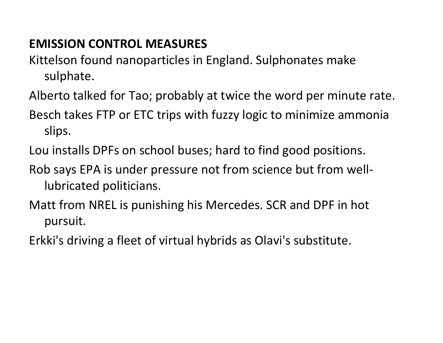## **EMISSION CONTROL MEASURES**

- Kittelson found nanoparticles in England. Sulphonates make sulphate.
- Alberto talked for Tao; probably at twice the word per minute rate.
- Besch takes FTP or ETC trips with fuzzy logic to minimize ammonia slips.
- Lou installs DPFs on school buses; hard to find good positions.
- Rob says EPA is under pressure not from science but from well‐ lubricated politicians.
- Matt from NREL is punishing his Mercedes. SCR and DPF in hot pursuit.
- Erkki's driving <sup>a</sup> fleet of virtual hybrids as Olavi's substitute.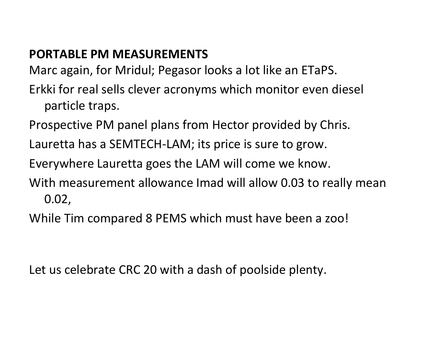# **PORTABLE PM MEASUREMENTS**

Marc again, for Mridul; Pegasor looks <sup>a</sup> lot like an ETaPS.

- Erkki for real sells clever acronyms which monitor even diesel particle traps.
- Prospective PM panel plans from Hector provided by Chris.
- Lauretta has <sup>a</sup> SEMTECH‐LAM; its price is sure to grow.
- Everywhere Lauretta goes the LAM will come we know.
- With measurement allowance Imad will allow 0.03 to really mean 0.02,
- While Tim compared 8 PEMS which must have been <sup>a</sup> zoo!

Let us celebrate CRC 20 with <sup>a</sup> dash of poolside plenty.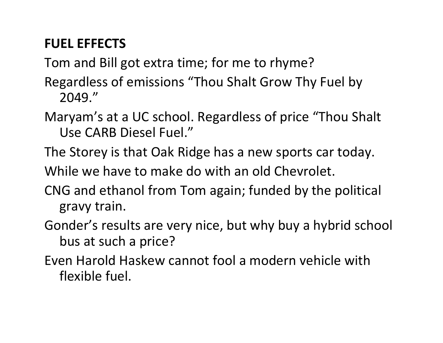# **FUEL EFFECTS**

Tom and Bill got extra time; for me to rhyme?

- Regardless of emissions "Thou Shalt Grow Thy Fuel by 2049."
- Maryam's at <sup>a</sup> UC school. Regardless of price "Thou Shalt Use CARB Diesel Fuel."
- The Storey is that Oak Ridge has <sup>a</sup> new sports car today.

While we have to make do with an old Chevrolet.

- CNG and ethanol from Tom again; funded by the political gravy train.
- Gonder's results are very nice, but why buy <sup>a</sup> hybrid school bus at such <sup>a</sup> price?
- Even Harold Haskew cannot fool <sup>a</sup> modern vehicle with flexible fuel.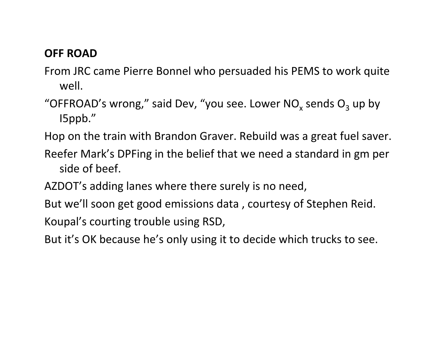### **OFF ROAD**

- From JRC came Pierre Bonnel who persuaded his PEMS to work quite well.
- "OFFROAD's wrong," said Dev, "you see. Lower NO<sub>x</sub> sends O<sub>3</sub> up by I5ppb."

Hop on the train with Brandon Graver. Rebuild was <sup>a</sup> great fuel saver.

- Reefer Mark's DPFing in the belief that we need <sup>a</sup> standard in gm per side of beef.
- AZDOT's adding lanes where there surely is no need,
- But we'll soon get good emissions data , courtesy of Stephen Reid. Koupal's courting trouble using RSD,
- But it's OK because he's only using it to decide which trucks to see.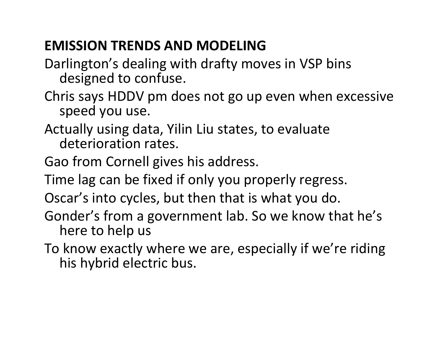# **EMISSION TRENDS AND MODELING**

Darlington's dealing with drafty moves in VSP bins designed to confuse.

- Chris says HDDV pm does not go up even when excessive speed you use.
- Actually using data, Yilin Liu states, to evaluate deterioration rates.
- Gao from Cornell gives his address.
- Time lag can be fixed if only you properly regress.
- Oscar's into cycles, but then that is what you do.
- Gonder's from <sup>a</sup> government lab. So we know that he's here to help us
- To know exactly where we are, especially if we're riding his hybrid electric bus.